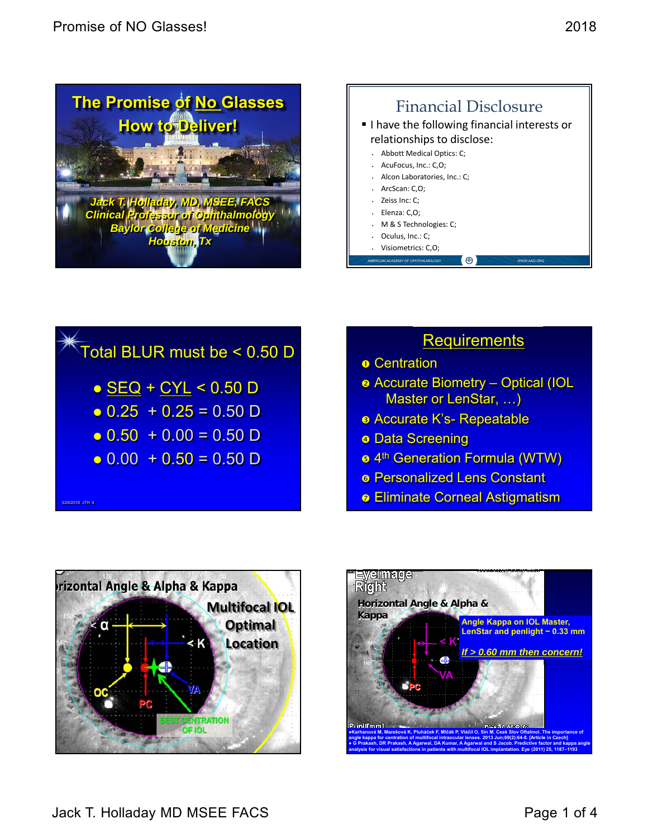





#### **Requirements**

- **o** Centration
- Accurate Biometry Optical (IOL Master or LenStar, …)
- **e** Accurate K's- Repeatable
- **o Data Screening**
- 4th Generation Formula (WTW)
- Personalized Lens Constant
- **Eliminate Corneal Astigmatism**



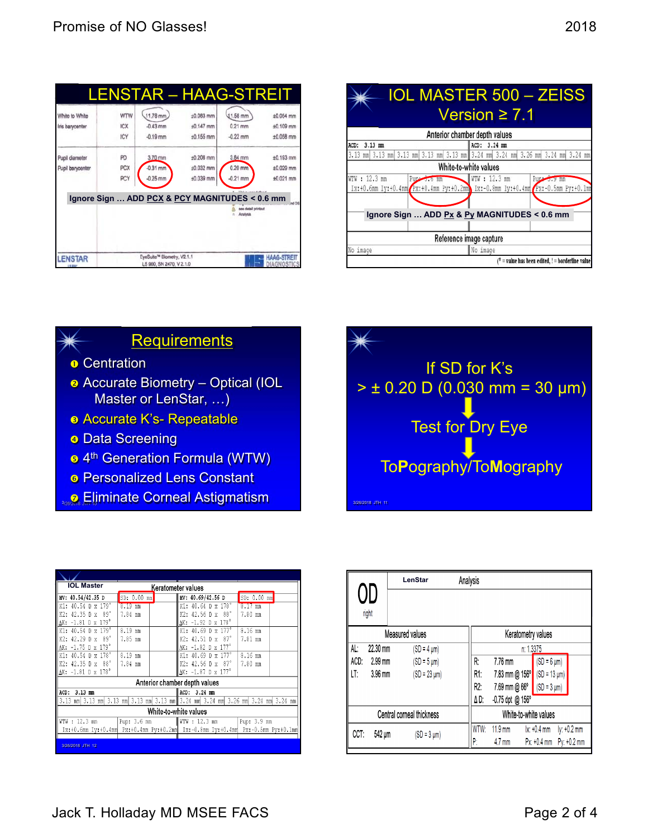|                                  |            | <b>LENSTAR - HAAG-STREIT</b>                           |             |                                                       |                                   |
|----------------------------------|------------|--------------------------------------------------------|-------------|-------------------------------------------------------|-----------------------------------|
| White to White                   | WTW        | 11.78 mm                                               | $±0.083$ mm | 11.58 mm                                              | ±0.054 mm                         |
| Iris barycenter                  | <b>ICX</b> | $-0.43$ mm                                             | $±0.147$ mm | $0.21$ mm                                             | ±0.109 mm                         |
|                                  | ICY        | $-0.19$ mm                                             | $±0.155$ mm | $-0.22$ mm                                            | $±0.058$ mm                       |
| Pupil diameter                   | PD         | 3.70 mm                                                | $±0.208$ mm | 3.84 mm                                               | $±0.193$ mm                       |
| Pupil barycenter                 | PCX        | $-0.31$ mm                                             | ±0.032 mm   | 0.20 mm                                               | ±0.029 mm                         |
|                                  | PCY        | $-0.25$ mm                                             | ±0.039 mm   | $-0.21$ mm                                            | ±0.021 mm                         |
|                                  |            | Ignore Sign  ADD PCX & PCY MAGNITUDES < 0.6 mm         |             | 1 Malus court date<br>twohitig fields end<br>Anatysis | nd OS                             |
| <b>LENSTAR</b><br><b>US 9037</b> |            | EyeSuite™ Biometry, V2.1.1<br>LS 900, SN 2470, V 2.1.0 |             |                                                       | <b>HAAG-STREIT</b><br>DIAGNOSTICS |

|                                                                                 | <b>IOL MASTER 500 - ZEISS</b>                                                                                 |  |  |  |
|---------------------------------------------------------------------------------|---------------------------------------------------------------------------------------------------------------|--|--|--|
|                                                                                 | Version $\geq 7.1$                                                                                            |  |  |  |
|                                                                                 | Anterior chamber depth values                                                                                 |  |  |  |
| ACD: 3.13 mm                                                                    | ACD: 3.24 mm                                                                                                  |  |  |  |
| 3.13 mm 3.13 mm 3.13 mm 3.13 mm 3.13 mm 3.24 mm 3.24 mm 3.26 mm 3.24 mm 3.24 mm |                                                                                                               |  |  |  |
|                                                                                 | White-to-white values                                                                                         |  |  |  |
| WTW: 12.3 mm<br>Pup: 3.0 mm                                                     | WTW: 12.3 mm<br>Pup 3.3 mm<br>Ix:+0.6mm Iy:+0.4mm Px:+0.4mm Py:+0.2mm Ix:-0.8mm Iy:+0.4mm Px:-0.5mm Py:+0.1mm |  |  |  |
| Ignore Sign  ADD Px & Py MAGNITUDES < 0.6 mm                                    |                                                                                                               |  |  |  |
|                                                                                 | Reference image capture                                                                                       |  |  |  |
| No image                                                                        | No image                                                                                                      |  |  |  |
|                                                                                 | $t^*$ = value has been edited, ! = borderline value]                                                          |  |  |  |



- **o** Centration
- **a** Accurate Biometry Optical (IOL Master or LenStar, …)
- Accurate K's- Repeatable
- **o** Data Screening
- <sup>5</sup> 4<sup>th</sup> Generation Formula (WTW)
- **e** Personalized Lens Constant
- **2. 2. Eliminate Corneal Astigmatism 3/26 Assets JTH 11**

| <b>IOL Master</b><br>Keratometer values  |                                                                                 |                               |                            |  |  |  |  |
|------------------------------------------|---------------------------------------------------------------------------------|-------------------------------|----------------------------|--|--|--|--|
| MV: 40.54/42.35 D                        | SD: 0.00 mm                                                                     | MV: 40.69/42.56 D             | SD: 0.00 mm                |  |  |  |  |
| 40.54 D x 179°<br>к1:                    | 8.19 mm                                                                         | $K1: 40.64$ D x $178^\circ$   | mm                         |  |  |  |  |
| - 89°<br>$42.35$ D x<br>K2.              | 7.84 mm                                                                         | -88°<br>K2: 42.56 D x         | 7.80<br>mm                 |  |  |  |  |
| $\Delta$ K: -1.81 D x 179°               |                                                                                 | AK: -1.92 D x 178°            |                            |  |  |  |  |
| 40.54 $D \times 179$ <sup>°</sup><br>K1: | $8.19$ mm                                                                       | $K1: 40.69$ D x $177^\circ$   | 8.16 mm                    |  |  |  |  |
| -89°<br>$42.29$ D $x$<br>K2:             | 7.85 mm                                                                         | -87°<br>K2: 42.51 D x         | 7.81 mm                    |  |  |  |  |
| $-1.75$ D $\times$ 179 $^{\circ}$<br>ΔК: |                                                                                 | AK: -1.82 D x 177°            |                            |  |  |  |  |
| 40.54 D x 178°<br>K1:                    | $9.19$ mm                                                                       | K1: $40.69$ D x $177^\circ$   | 8.16 mm                    |  |  |  |  |
| $42.35$ D $\text{x}$ $88^\circ$<br>K2:   | 7.84 mm                                                                         | K2: $42.56$ D x $87^\circ$    | 7.80 mm                    |  |  |  |  |
| $\Delta$ K: -1.81 D x 178°               |                                                                                 | AK: -1.87 D x 177°            |                            |  |  |  |  |
|                                          |                                                                                 | Anterior chamber depth values |                            |  |  |  |  |
| ACD:<br>$3.13 \text{ mm}$                |                                                                                 | $3.24$ mm<br>ACD:             |                            |  |  |  |  |
| 3.13 mm 3.13<br>mml                      | 3.13 mml 3.13 mml 3.13 mml 3.24 mml 3.24                                        |                               | mm 3.26 mm 3.24 mm 3.24 mm |  |  |  |  |
| White-to-white values                    |                                                                                 |                               |                            |  |  |  |  |
| WTW : 12.3 mm                            | Pup: 3.6 mm                                                                     | WTW : 12.3 mm                 | Pup: 3.9 mm                |  |  |  |  |
|                                          | Ix:+0.6mm Iy:+0.4mm Px:+0.4mm Py:+0.2mm Ix:-0.8mm Iy:+0.4mm Px:-0.5mm Py:+0.1mm |                               |                            |  |  |  |  |
|                                          |                                                                                 |                               |                            |  |  |  |  |
| 3/26/2018 JTH 12                         |                                                                                 |                               |                            |  |  |  |  |



|                           |           | LenStar           |                         | Analysis          |                                       |                             |                            |
|---------------------------|-----------|-------------------|-------------------------|-------------------|---------------------------------------|-----------------------------|----------------------------|
| right                     | JU        |                   |                         |                   |                                       |                             |                            |
| Measured values           |           |                   | Keratometry values      |                   |                                       |                             |                            |
| AL:                       | 22.30 mm  | (SD = 4 µm)       |                         | n: 1.3375         |                                       |                             |                            |
| ACD:                      | $2.99$ mm | $(SD = 5 \mu m)$  |                         | R:                | 7.76 mm                               | $(SD = 6 \mu m)$            |                            |
| LT:                       | $3.96$ mm | $(SD = 23 \mu m)$ |                         | R1:               | 7.83 mm @ 156°                        | $(SD = 13 \mu m)$           |                            |
|                           |           |                   |                         | R2:               | 7.69 mm @ 66°                         | $(SD = 3 \mu m)$            |                            |
|                           |           |                   | ΔD:<br>-0.75 dpt @ 156° |                   |                                       |                             |                            |
| Central corneal thickness |           |                   | White-to-white values   |                   |                                       |                             |                            |
| CCT:                      | 542 um    | $(SD = 3 \mu m)$  |                         | <b>WTW:</b><br>P: | $11.9 \text{ mm}$<br>$4.7 \text{ mm}$ | $x + 0.4$ mm<br>Px: +0.4 mm | ly: +0.2 mm<br>Py: +0.2 mm |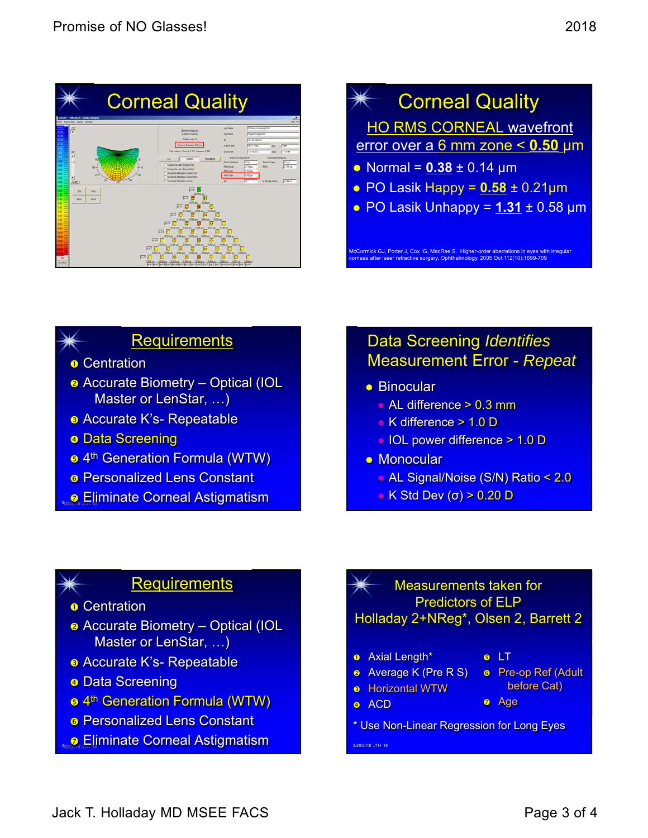



# **Requirements**

- **o** Centration
- Accurate Biometry Optical (IOL Master or LenStar, …)
- **B** Accurate K's- Repeatable
- **o Data Screening**
- **s** 4<sup>th</sup> Generation Formula (WTW)
- **6 Personalized Lens Constant**
- **D** Eliminate Corneal Astigmatism

# Data Screening *Identifies* Measurement Error - *Repeat*

- **Binocular** 
	- AL difference > 0.3 mm
	- K difference > 1.0 D
	- IOL power difference > 1.0 D
- **Monocular** 
	- AL Signal/Noise (S/N) Ratio < 2.0
	- $\bullet$  K Std Dev (σ) > 0.20 D

### **Requirements**

- **o** Centration
- **a** Accurate Biometry Optical (IOL Master or LenStar, …)
- **B** Accurate K's- Repeatable
- **a** Data Screening
- 4th Generation Formula (WTW)
- **6 Personalized Lens Constant**
- **2. 2. Eliminate Corneal Astigmatism 3/26 2018 JTH 19**
- Measurements taken for Predictors of ELP Holladay 2+NReg\*, Olsen 2, Barrett 2
- **o** Axial Length\*

**B** Horizontal WTW

- **e** LT
- **a** Average K (Pre R S) **a** Pre-op Ref (Adult
- before Cat)
	- Age
- <sup>o</sup> ACD
- \* Use Non-Linear Regression for Long Eyes